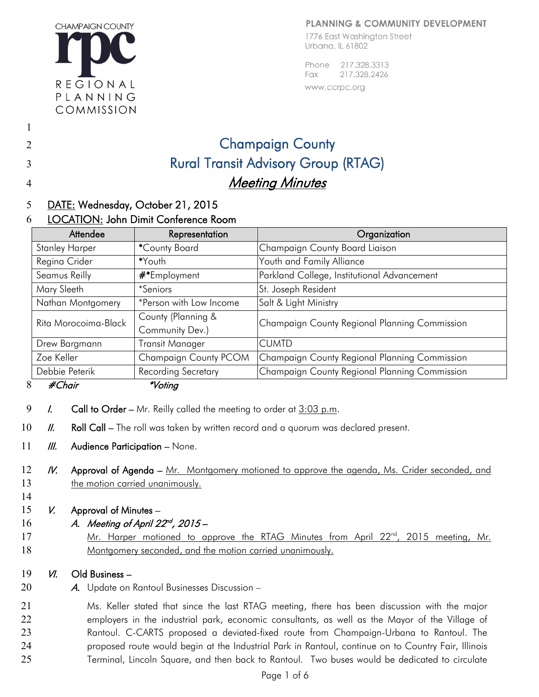## **PLANNING & COMMUNITY DEVELOPMENT**



1776 East Washington Street Urbana, IL 61802

217,328,3313 Phone 217.328.2426 Fax www.ccrpc.org

# Champaign County Rural Transit Advisory Group (RTAG) **Meeting Minutes**

### 5 DATE: Wednesday, October 21, 2015

#### 6 LOCATION: John Dimit Conference Room

| Attendee              | Representation             | Organization                                  |
|-----------------------|----------------------------|-----------------------------------------------|
| <b>Stanley Harper</b> | *County Board              | Champaign County Board Liaison                |
| Regina Crider         | *Youth                     | Youth and Family Alliance                     |
| Seamus Reilly         | #*Employment               | Parkland College, Institutional Advancement   |
| Mary Sleeth           | <i>*Seniors</i>            | St. Joseph Resident                           |
| Nathan Montgomery     | *Person with Low Income    | Salt & Light Ministry                         |
| Rita Morocoima-Black  | County (Planning &         | Champaign County Regional Planning Commission |
|                       | Community Dev.)            |                                               |
| Drew Bargmann         | Transit Manager            | <b>CUMTD</b>                                  |
| Zoe Keller            | Champaign County PCOM      | Champaign County Regional Planning Commission |
| Debbie Peterik        | <b>Recording Secretary</b> | Champaign County Regional Planning Commission |
| 8<br>#Chair           | <i>*Voting</i>             |                                               |

- 9 I. Call to Order Mr. Reilly called the meeting to order at  $3:03$  p.m.
- 10  $II.$  Roll Call – The roll was taken by written record and a quorum was declared present.
- 11  $III.$  Audience Participation – None.
- 12 13 IV. Approval of Agenda – Mr. Montgomery motioned to approve the agenda, Ms. Crider seconded, and the motion carried unanimously.
- 14

1

2

3

4

- 15 V. Approval of Minutes –
- 16 A. Meeting of April  $22^{nd}$ ,  $2015 -$
- 17 18 Mr. Harper motioned to approve the RTAG Minutes from April 22<sup>nd</sup>, 2015 meeting, Mr. Montgomery seconded, and the motion carried unanimously.

#### 19 VI. Old Business –

20 A. Update on Rantoul Businesses Discussion –

21 22 23 24 25 Ms. Keller stated that since the last RTAG meeting, there has been discussion with the major employers in the industrial park, economic consultants, as well as the Mayor of the Village of Rantoul. C-CARTS proposed a deviated-fixed route from Champaign-Urbana to Rantoul. The proposed route would begin at the Industrial Park in Rantoul, continue on to Country Fair, Illinois Terminal, Lincoln Square, and then back to Rantoul. Two buses would be dedicated to circulate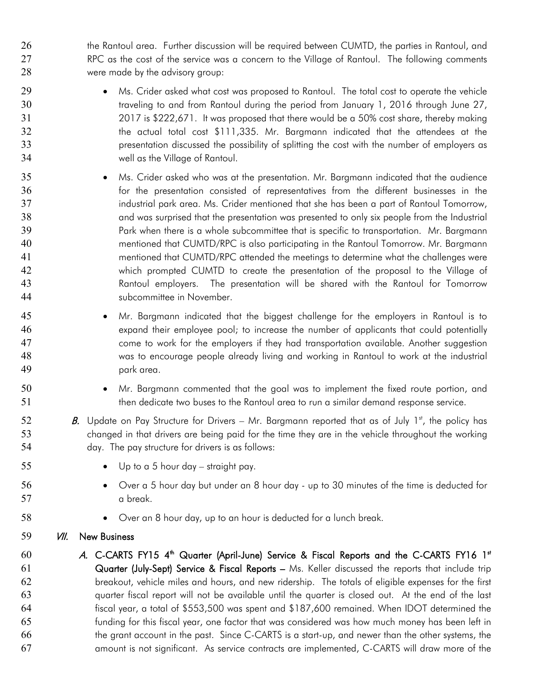26 the Rantoul area. Further discussion will be required between CUMTD, the parties in Rantoul, and 27 28 RPC as the cost of the service was a concern to the Village of Rantoul. The following comments were made by the advisory group:

- Ms. Crider asked what cost was proposed to Rantoul. The total cost to operate the vehicle traveling to and from Rantoul during the period from January 1, 2016 through June 27, 2017 is \$222,671. It was proposed that there would be a 50% cost share, thereby making the actual total cost \$111,335. Mr. Bargmann indicated that the attendees at the presentation discussed the possibility of splitting the cost with the number of employers as well as the Village of Rantoul.
- 35 36 37 38 39 40 41 42 43 44 • Ms. Crider asked who was at the presentation. Mr. Bargmann indicated that the audience for the presentation consisted of representatives from the different businesses in the industrial park area. Ms. Crider mentioned that she has been a part of Rantoul Tomorrow, and was surprised that the presentation was presented to only six people from the Industrial Park when there is a whole subcommittee that is specific to transportation. Mr. Bargmann mentioned that CUMTD/RPC is also participating in the Rantoul Tomorrow. Mr. Bargmann mentioned that CUMTD/RPC attended the meetings to determine what the challenges were which prompted CUMTD to create the presentation of the proposal to the Village of Rantoul employers. The presentation will be shared with the Rantoul for Tomorrow subcommittee in November.
- 45 46 47 48 49 • Mr. Bargmann indicated that the biggest challenge for the employers in Rantoul is to expand their employee pool; to increase the number of applicants that could potentially come to work for the employers if they had transportation available. Another suggestion was to encourage people already living and working in Rantoul to work at the industrial park area.
	- Mr. Bargmann commented that the goal was to implement the fixed route portion, and then dedicate two buses to the Rantoul area to run a similar demand response service.
	- **B.** Update on Pay Structure for Drivers Mr. Bargmann reported that as of July 1<sup>st</sup>, the policy has changed in that drivers are being paid for the time they are in the vehicle throughout the working day. The pay structure for drivers is as follows:
		- Up to a 5 hour day straight pay.
		- Over a 5 hour day but under an 8 hour day up to 30 minutes of the time is deducted for a break.
			- Over an 8 hour day, up to an hour is deducted for a lunch break.
- 59 **VII.** New Business

50 51

52 53 54

55

56 57

58

60 61 62 63 64 65 66 67 A. C-CARTS FY15 4<sup>th</sup> Quarter (April-June) Service & Fiscal Reports and the C-CARTS FY16 1st Quarter (July-Sept) Service & Fiscal Reports – Ms. Keller discussed the reports that include trip breakout, vehicle miles and hours, and new ridership. The totals of eligible expenses for the first quarter fiscal report will not be available until the quarter is closed out. At the end of the last fiscal year, a total of \$553,500 was spent and \$187,600 remained. When IDOT determined the funding for this fiscal year, one factor that was considered was how much money has been left in the grant account in the past. Since C-CARTS is a start-up, and newer than the other systems, the amount is not significant. As service contracts are implemented, C-CARTS will draw more of the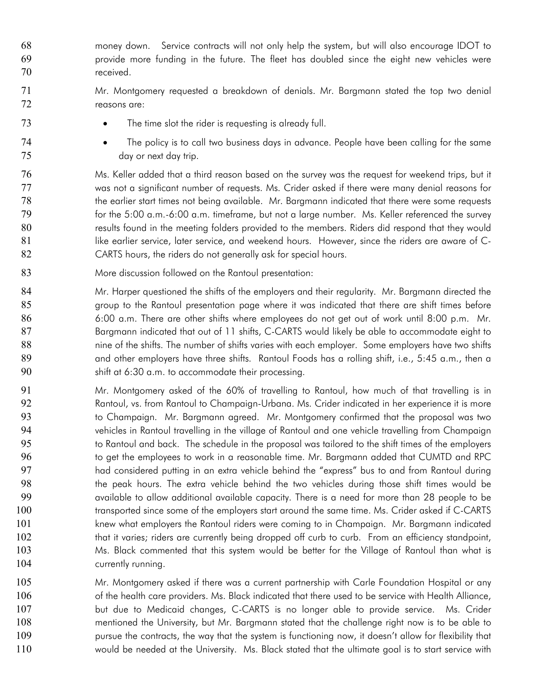- 68 money down. Service contracts will not only help the system, but will also encourage IDOT to 69 70 provide more funding in the future. The fleet has doubled since the eight new vehicles were received.
	- Mr. Montgomery requested a breakdown of denials. Mr. Bargmann stated the top two denial reasons are:
		- The time slot the rider is requesting is already full.
	- The policy is to call two business days in advance. People have been calling for the same day or next day trip.

Ms. Keller added that a third reason based on the survey was the request for weekend trips, but it was not a significant number of requests. Ms. Crider asked if there were many denial reasons for the earlier start times not being available. Mr. Bargmann indicated that there were some requests for the 5:00 a.m.-6:00 a.m. timeframe, but not a large number. Ms. Keller referenced the survey results found in the meeting folders provided to the members. Riders did respond that they would like earlier service, later service, and weekend hours. However, since the riders are aware of C-CARTS hours, the riders do not generally ask for special hours.

83 More discussion followed on the Rantoul presentation:

71 72

73

74 75

- 84 85 86 87 88 89 90 Mr. Harper questioned the shifts of the employers and their regularity. Mr. Bargmann directed the group to the Rantoul presentation page where it was indicated that there are shift times before 6:00 a.m. There are other shifts where employees do not get out of work until 8:00 p.m. Mr. Bargmann indicated that out of 11 shifts, C-CARTS would likely be able to accommodate eight to nine of the shifts. The number of shifts varies with each employer. Some employers have two shifts and other employers have three shifts. Rantoul Foods has a rolling shift, i.e., 5:45 a.m., then a shift at 6:30 a.m. to accommodate their processing.
- 91 92 93 94 95 96 97 98 99 100 101 102 103 104 Mr. Montgomery asked of the 60% of travelling to Rantoul, how much of that travelling is in Rantoul, vs. from Rantoul to Champaign-Urbana. Ms. Crider indicated in her experience it is more to Champaign. Mr. Bargmann agreed. Mr. Montgomery confirmed that the proposal was two vehicles in Rantoul travelling in the village of Rantoul and one vehicle travelling from Champaign to Rantoul and back. The schedule in the proposal was tailored to the shift times of the employers to get the employees to work in a reasonable time. Mr. Bargmann added that CUMTD and RPC had considered putting in an extra vehicle behind the "express" bus to and from Rantoul during the peak hours. The extra vehicle behind the two vehicles during those shift times would be available to allow additional available capacity. There is a need for more than 28 people to be transported since some of the employers start around the same time. Ms. Crider asked if C-CARTS knew what employers the Rantoul riders were coming to in Champaign. Mr. Bargmann indicated that it varies; riders are currently being dropped off curb to curb. From an efficiency standpoint, Ms. Black commented that this system would be better for the Village of Rantoul than what is currently running.
- 105 106 107 108 109 110 Mr. Montgomery asked if there was a current partnership with Carle Foundation Hospital or any of the health care providers. Ms. Black indicated that there used to be service with Health Alliance, but due to Medicaid changes, C-CARTS is no longer able to provide service. Ms. Crider mentioned the University, but Mr. Bargmann stated that the challenge right now is to be able to pursue the contracts, the way that the system is functioning now, it doesn't allow for flexibility that would be needed at the University. Ms. Black stated that the ultimate goal is to start service with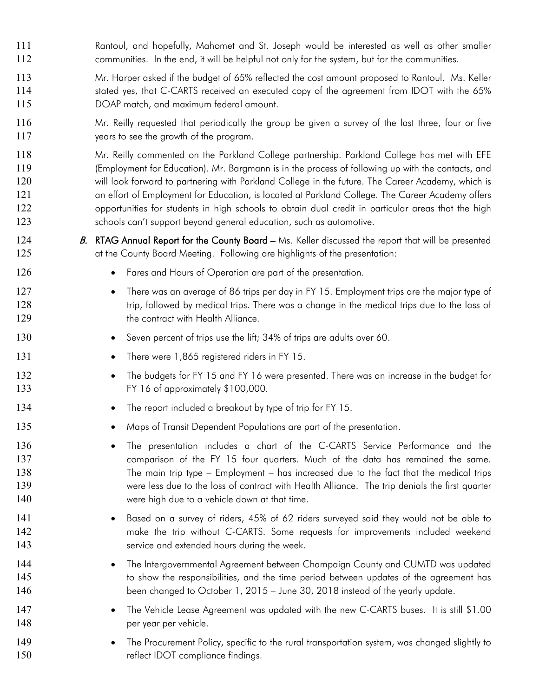- 111 Rantoul, and hopefully, Mahomet and St. Joseph would be interested as well as other smaller 112 communities. In the end, it will be helpful not only for the system, but for the communities.
- 113 114 115 Mr. Harper asked if the budget of 65% reflected the cost amount proposed to Rantoul. Ms. Keller stated yes, that C-CARTS received an executed copy of the agreement from IDOT with the 65% DOAP match, and maximum federal amount.
- 116 117 Mr. Reilly requested that periodically the group be given a survey of the last three, four or five years to see the growth of the program.
- 118 119 120 121 122 123 Mr. Reilly commented on the Parkland College partnership. Parkland College has met with EFE (Employment for Education). Mr. Bargmann is in the process of following up with the contacts, and will look forward to partnering with Parkland College in the future. The Career Academy, which is an effort of Employment for Education, is located at Parkland College. The Career Academy offers opportunities for students in high schools to obtain dual credit in particular areas that the high schools can't support beyond general education, such as automotive.
- 124 125 B. RTAG Annual Report for the County Board  $-$  Ms. Keller discussed the report that will be presented at the County Board Meeting. Following are highlights of the presentation:
	- Fares and Hours of Operation are part of the presentation.
	- There was an average of 86 trips per day in FY 15. Employment trips are the major type of trip, followed by medical trips. There was a change in the medical trips due to the loss of the contract with Health Alliance.
		- Seven percent of trips use the lift; 34% of trips are adults over 60.
		- There were 1,865 registered riders in FY 15.

126

127 128 129

130

131

134

135

- 132 133 • The budgets for FY 15 and FY 16 were presented. There was an increase in the budget for FY 16 of approximately \$100,000.
	- The report included a breakout by type of trip for FY 15.
		- Maps of Transit Dependent Populations are part of the presentation.
	- The presentation includes a chart of the C-CARTS Service Performance and the comparison of the FY 15 four quarters. Much of the data has remained the same. The main trip type – Employment – has increased due to the fact that the medical trips were less due to the loss of contract with Health Alliance. The trip denials the first quarter were high due to a vehicle down at that time.
- 141 142 143 • Based on a survey of riders, 45% of 62 riders surveyed said they would not be able to make the trip without C-CARTS. Some requests for improvements included weekend service and extended hours during the week.
- 144 145 146 • The Intergovernmental Agreement between Champaign County and CUMTD was updated to show the responsibilities, and the time period between updates of the agreement has been changed to October 1, 2015 – June 30, 2018 instead of the yearly update.
- 147 148 • The Vehicle Lease Agreement was updated with the new C-CARTS buses. It is still \$1.00 per year per vehicle.
- 149 150 • The Procurement Policy, specific to the rural transportation system, was changed slightly to reflect IDOT compliance findings.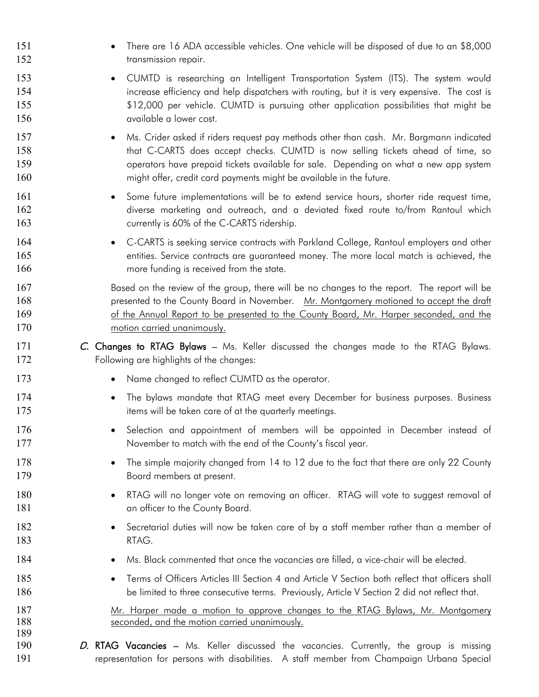| 151<br>152               | There are 16 ADA accessible vehicles. One vehicle will be disposed of due to an \$8,000<br>transmission repair.                                                                                                                                                                                                                                        |
|--------------------------|--------------------------------------------------------------------------------------------------------------------------------------------------------------------------------------------------------------------------------------------------------------------------------------------------------------------------------------------------------|
| 153<br>154<br>155<br>156 | CUMTD is researching an Intelligent Transportation System (ITS). The system would<br>$\bullet$<br>increase efficiency and help dispatchers with routing, but it is very expensive. The cost is<br>\$12,000 per vehicle. CUMTD is pursuing other application possibilities that might be<br>available a lower cost.                                     |
| 157<br>158<br>159<br>160 | Ms. Crider asked if riders request pay methods other than cash. Mr. Bargmann indicated<br>$\bullet$<br>that C-CARTS does accept checks. CUMTD is now selling tickets ahead of time, so<br>operators have prepaid tickets available for sale. Depending on what a new app system<br>might offer, credit card payments might be available in the future. |
| 161<br>162<br>163        | Some future implementations will be to extend service hours, shorter ride request time,<br>$\bullet$<br>diverse marketing and outreach, and a deviated fixed route to/from Rantoul which<br>currently is 60% of the C-CARTS ridership.                                                                                                                 |
| 164<br>165<br>166        | C-CARTS is seeking service contracts with Parkland College, Rantoul employers and other<br>$\bullet$<br>entities. Service contracts are guaranteed money. The more local match is achieved, the<br>more funding is received from the state.                                                                                                            |
| 167<br>168<br>169<br>170 | Based on the review of the group, there will be no changes to the report. The report will be<br>presented to the County Board in November. Mr. Montgomery motioned to accept the draft<br>of the Annual Report to be presented to the County Board, Mr. Harper seconded, and the<br>motion carried unanimously.                                        |
| 171<br>172               | C. Changes to RTAG Bylaws - Ms. Keller discussed the changes made to the RTAG Bylaws.<br>Following are highlights of the changes:                                                                                                                                                                                                                      |
| 173                      | Name changed to reflect CUMTD as the operator.                                                                                                                                                                                                                                                                                                         |
| 174<br>175               | The bylaws mandate that RTAG meet every December for business purposes. Business<br>$\bullet$<br>items will be taken care of at the quarterly meetings.                                                                                                                                                                                                |
| 176<br>177               | Selection and appointment of members will be appointed in December instead of<br>$\bullet$<br>November to match with the end of the County's fiscal year.                                                                                                                                                                                              |
| 178<br>179               | The simple majority changed from 14 to 12 due to the fact that there are only 22 County<br>$\bullet$<br>Board members at present.                                                                                                                                                                                                                      |
| 180<br>181               | RTAG will no longer vote on removing an officer. RTAG will vote to suggest removal of<br>٠<br>an officer to the County Board.                                                                                                                                                                                                                          |
| 182<br>183               | Secretarial duties will now be taken care of by a staff member rather than a member of<br>٠<br>RTAG.                                                                                                                                                                                                                                                   |
| 184                      | Ms. Black commented that once the vacancies are filled, a vice-chair will be elected.<br>$\bullet$                                                                                                                                                                                                                                                     |
| 185<br>186               | Terms of Officers Articles III Section 4 and Article V Section both reflect that officers shall<br>$\bullet$<br>be limited to three consecutive terms. Previously, Article V Section 2 did not reflect that.                                                                                                                                           |
| 187<br>188<br>189        | Mr. Harper made a motion to approve changes to the RTAG Bylaws, Mr. Montgomery<br>seconded, and the motion carried unanimously.                                                                                                                                                                                                                        |
| 190<br>191               | D. RTAG Vacancies – Ms. Keller discussed the vacancies. Currently, the group is missing<br>representation for persons with disabilities. A staff member from Champaign Urbana Special                                                                                                                                                                  |